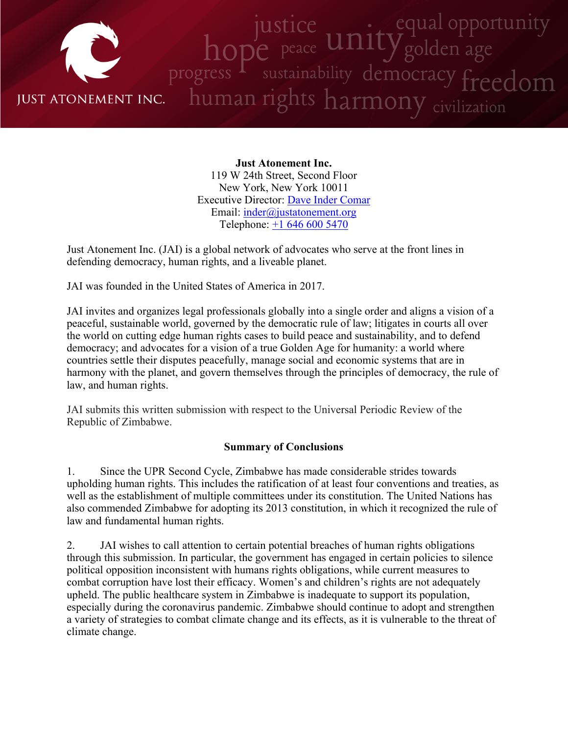

**Just Atonement Inc.** 119 W 24th Street, Second Floor New York, New York 10011 Executive Director: Dave Inder [Comar](http://www.justatonement.org/dave-inder-comar) Email: [inder@justatonement.org](mailto:inder@justatonement.org) Telephone: +1 646 600 [5470](tel:+16466005470)

Just Atonement Inc. (JAI) is <sup>a</sup> global network of advocates who serve at the front lines in defending democracy, human rights, and <sup>a</sup> liveable planet.

JAI was founded in the United States of America in 2017.

JAI invites and organizes legal professionals globally into <sup>a</sup> single order and aligns <sup>a</sup> vision of <sup>a</sup> peaceful, sustainable world, governed by the democratic rule of law; litigates in courts all over the world on cutting edge human rights cases to build peace and sustainability, and to defend democracy; and advocates for <sup>a</sup> vision of <sup>a</sup> true Golden Age for humanity: <sup>a</sup> world where countries settle their disputes peacefully, manage social and economic systems that are in harmony with the planet, and govern themselves through the principles of democracy, the rule of law, and human rights.

JAI submits this written submission with respec<sup>t</sup> to the Universal Periodic Review of the Republic of Zimbabwe.

#### **Summary of Conclusions**

1. Since the UPR Second Cycle, Zimbabwe has made considerable strides towards upholding human rights. This includes the ratification of at least four conventions and treaties, as well as the establishment of multiple committees under its constitution. The United Nations has also commended Zimbabwe for adopting its 2013 constitution, in which it recognized the rule of law and fundamental human rights.

2. JAI wishes to call attention to certain potential breaches of human rights obligations through this submission. In particular, the governmen<sup>t</sup> has engaged in certain policies to silence political opposition inconsistent with humans rights obligations, while current measures to combat corruption have lost their efficacy. Women'<sup>s</sup> and children'<sup>s</sup> rights are not adequately upheld. The public healthcare system in Zimbabwe is inadequate to suppor<sup>t</sup> its population, especially during the coronavirus pandemic. Zimbabwe should continue to adopt and strengthen <sup>a</sup> variety of strategies to combat climate change and its effects, as it is vulnerable to the threat of climate change.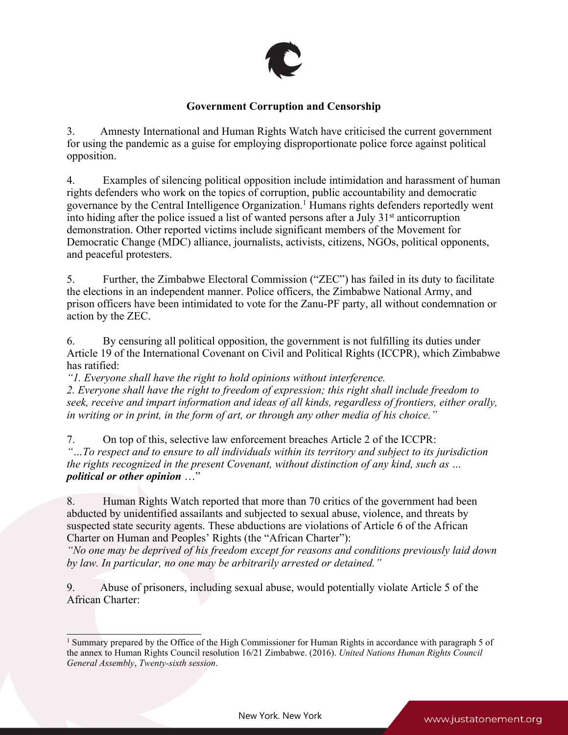

# **Government Corruption and Censorship**

3. Amnesty International and Human Rights Watch have criticised the current governmen<sup>t</sup> for using the pandemic as <sup>a</sup> guise for employing disproportionate police force against political opposition.

4. Examples of silencing political opposition include intimidation and harassment of human rights defenders who work on the topics of corruption, public accountability and democratic governance by the Central Intelligence Organization. <sup>1</sup> Humans rights defenders reportedly went into hiding after the police issued a list of wanted persons after a July 31 $^{\rm st}$  anticorruption demonstration. Other reported victims include significant members of the Movement for Democratic Change (MDC) alliance, journalists, activists, citizens, NGOs, political opponents, and peaceful protesters.

5. Further, the Zimbabwe Electoral Commission ("ZEC") has failed in its duty to facilitate the elections in an independent manner. Police officers, the Zimbabwe National Army, and prison officers have been intimidated to vote for the Zanu-PF party, all without condemnation or action by the ZEC.

6. By censuring all political opposition, the governmen<sup>t</sup> is not fulfilling its duties under Article 19 of the International Covenant on Civil and Political Rights (ICCPR), which Zimbabwe has ratified:

*"1. Everyone shall have the right to hold opinions without interference.*

*2. Everyone shall have the right to freedom of expression; this right shall include freedom to seek, receive and impart information and ideas of all kinds, regardless of frontiers, either orally,* in writing or in print, in the form of art, or through any other media of his choice."

7. On top of this, selective law enforcement breaches Article 2 of the ICCPR: *"…To respec<sup>t</sup> and to ensure to all individuals within its territory and subject to its jurisdiction the rights recognized in the presen<sup>t</sup> Covenant, without distinction of any kind, such as … political or other opinion* …"

8. Human Rights Watch reported that more than 70 critics of the governmen<sup>t</sup> had been abducted by unidentified assailants and subjected to sexual abuse, violence, and threats by suspected state security agents. These abductions are violations of Article 6 of the African Charter on Human and Peoples' Rights (the "African Charter"):

"No one may be deprived of his freedom except for reasons and conditions previously laid down *by law. In particular, no one may be arbitrarily arrested or detained."*

9. Abuse of prisoners, including sexual abuse, would potentially violate Article 5 of the African Charter:

<sup>&</sup>lt;sup>1</sup> Summary prepared by the Office of the High Commissioner for Human Rights in accordance with paragraph 5 of the annex to Human Rights Council resolution 16/21 Zimbabwe. (2016). *United Nations Human Rights Council General Assembly*, *Twenty-sixth session*.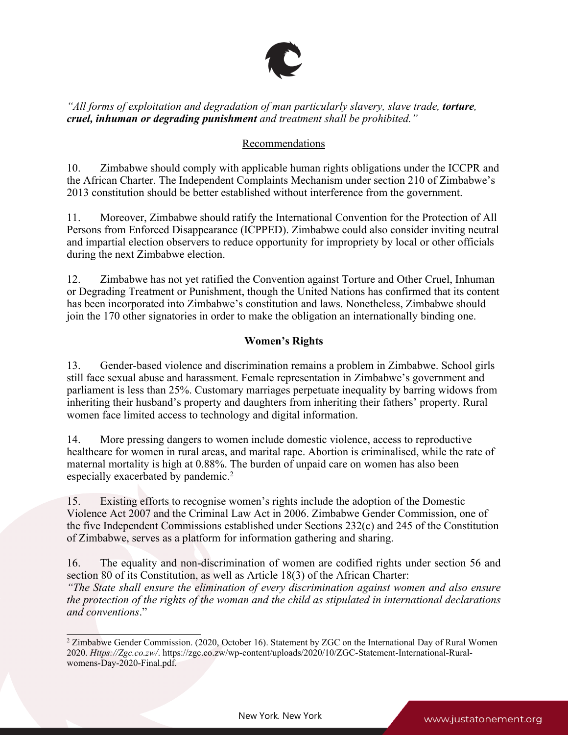

*"All forms of exploitation and degradation of man particularly slavery, slave trade, torture, cruel, inhuman or degrading punishment and treatment shall be prohibited."*

# Recommendations

10. Zimbabwe should comply with applicable human rights obligations under the ICCPR and the African Charter. The Independent Complaints Mechanism under section 210 of Zimbabwe'<sup>s</sup> 2013 constitution should be better established without interference from the government.

11. Moreover, Zimbabwe should ratify the International Convention for the Protection of All Persons from Enforced Disappearance (ICPPED). Zimbabwe could also consider inviting neutral and impartial election observers to reduce opportunity for impropriety by local or other officials during the next Zimbabwe election.

12. Zimbabwe has not ye<sup>t</sup> ratified the Convention against Torture and Other Cruel, Inhuman or Degrading Treatment or Punishment, though the United Nations has confirmed that its content has been incorporated into Zimbabwe'<sup>s</sup> constitution and laws. Nonetheless, Zimbabwe should join the 170 other signatories in order to make the obligation an internationally binding one.

# **Women'<sup>s</sup> Rights**

13. Gender-based violence and discrimination remains <sup>a</sup> problem in Zimbabwe. School girls still face sexual abuse and harassment. Female representation in Zimbabwe'<sup>s</sup> governmen<sup>t</sup> and parliament is less than 25%. Customary marriages perpetuate inequality by barring widows from inheriting their husband'<sup>s</sup> property and daughters from inheriting their fathers' property. Rural women face limited access to technology and digital information.

14. More pressing dangers to women include domestic violence, access to reproductive healthcare for women in rural areas, and marital rape. Abortion is criminalised, while the rate of maternal mortality is high at 0.88%. The burden of unpaid care on women has also been especially exacerbated by pandemic. 2

15. Existing efforts to recognise women'<sup>s</sup> rights include the adoption of the Domestic Violence Act 2007 and the Criminal Law Act in 2006. Zimbabwe Gender Commission, one of the five Independent Commissions established under Sections 232(c) and 245 of the Constitution of Zimbabwe, serves as <sup>a</sup> platform for information gathering and sharing.

16. The equality and non-discrimination of women are codified rights under section 56 and section 80 of its Constitution, as well as Article 18(3) of the African Charter: *"The State shall ensure the elimination of every discrimination against women and also ensure the protection of the rights of the woman and the child as stipulated in international declarations and conventions*."

<sup>&</sup>lt;sup>2</sup> Zimbabwe Gender Commission. (2020, October 16). Statement by ZGC on the International Day of Rural Women 2020. *Https://Zgc.co.zw/*. https://zgc.co.zw/wp-content/uploads/2020/10/ZGC-Statement-International-Ruralwomens-Day-2020-Final.pdf.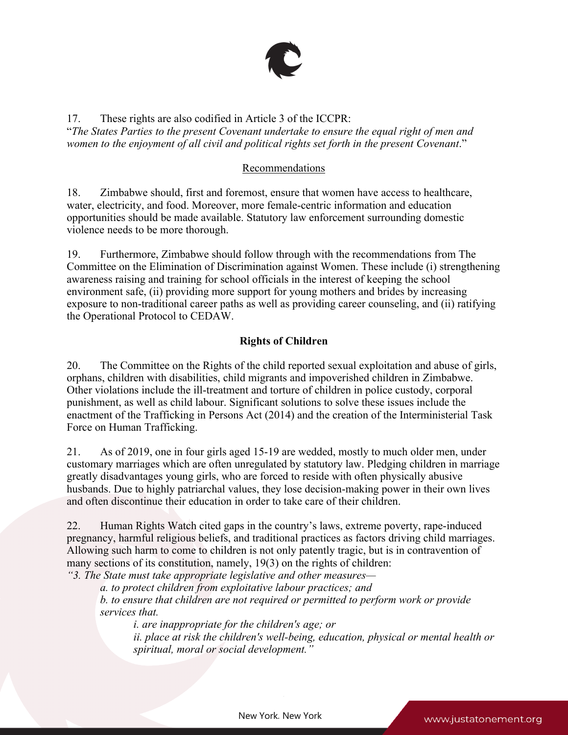

17. These rights are also codified in Article 3 of the ICCPR: "*The States Parties to the presen<sup>t</sup> Covenant undertake to ensure the equal right of men and women to the enjoyment of all civil and political rights set forth in the presen<sup>t</sup> Covenant*."

#### Recommendations

18. Zimbabwe should, first and foremost, ensure that women have access to healthcare, water, electricity, and food. Moreover, more female-centric information and education opportunities should be made available. Statutory law enforcement surrounding domestic violence needs to be more thorough.

19. Furthermore, Zimbabwe should follow through with the recommendations from The Committee on the Elimination of Discrimination against Women. These include (i) strengthening awareness raising and training for school officials in the interest of keeping the school environment safe, (ii) providing more suppor<sup>t</sup> for young mothers and brides by increasing exposure to non-traditional career paths as well as providing career counseling, and (ii) ratifying the Operational Protocol to CEDAW.

#### **Rights of Children**

20. The Committee on the Rights of the child reported sexual exploitation and abuse of girls, orphans, children with disabilities, child migrants and impoverished children in Zimbabwe. Other violations include the ill-treatment and torture of children in police custody, corporal punishment, as well as child labour. Significant solutions to solve these issues include the enactment of the Trafficking in Persons Act (2014) and the creation of the Interministerial Task Force on Human Trafficking.

21. As of 2019, one in four girls aged 15-19 are wedded, mostly to much older men, under customary marriages which are often unregulated by statutory law. Pledging children in marriage greatly disadvantages young girls, who are forced to reside with often physically abusive husbands. Due to highly patriarchal values, they lose decision-making power in their own lives and often discontinue their education in order to take care of their children.

22. Human Rights Watch cited gaps in the country'<sup>s</sup> laws, extreme poverty, rape-induced pregnancy, harmful religious beliefs, and traditional practices as factors driving child marriages. Allowing such harm to come to children is not only patently tragic, but is in contravention of many sections of its constitution, namely, 19(3) on the rights of children:

*"3. The State must take appropriate legislative and other measures—*

*a. to protect children from exploitative labour practices; and*

*b. to ensure that children are not required or permitted to perform work or provide services that.*

*i. are inappropriate for the children's age; or*

*ii. place at risk the children's well-being, education, physical or mental health or spiritual, moral or social development."*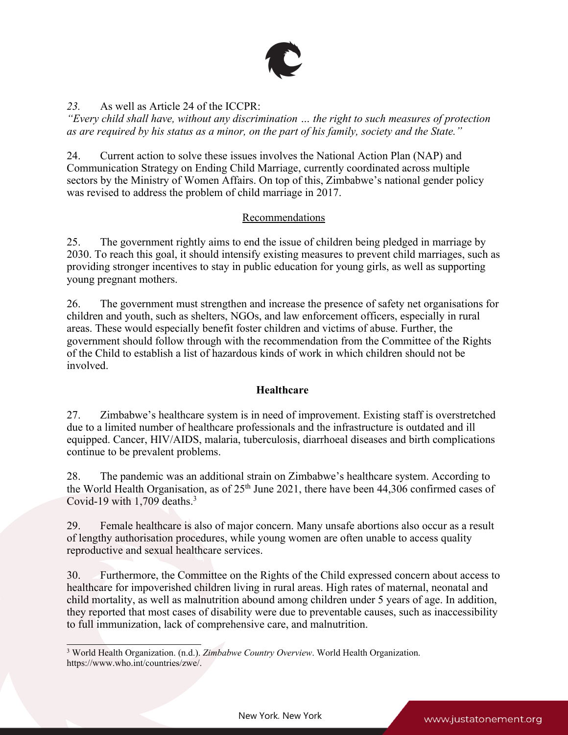

#### *23.* As well as Article 24 of the ICCPR:

*"Every child shall have, without any discrimination … the right to such measures of protection* as are required by his status as a minor, on the part of his family, society and the State."

24. Current action to solve these issues involves the National Action Plan (NAP) and Communication Strategy on Ending Child Marriage, currently coordinated across multiple sectors by the Ministry of Women Affairs. On top of this, Zimbabwe'<sup>s</sup> national gender policy was revised to address the problem of child marriage in 2017.

#### Recommendations

25. The governmen<sup>t</sup> rightly aims to end the issue of children being pledged in marriage by 2030. To reach this goal, it should intensify existing measures to preven<sup>t</sup> child marriages, such as providing stronger incentives to stay in public education for young girls, as well as supporting young pregnan<sup>t</sup> mothers.

26. The governmen<sup>t</sup> must strengthen and increase the presence of safety net organisations for children and youth, such as shelters, NGOs, and law enforcement officers, especially in rural areas. These would especially benefit foster children and victims of abuse. Further, the governmen<sup>t</sup> should follow through with the recommendation from the Committee of the Rights of the Child to establish <sup>a</sup> list of hazardous kinds of work in which children should not be involved.

## **Healthcare**

27. Zimbabwe'<sup>s</sup> healthcare system is in need of improvement. Existing staff is overstretched due to <sup>a</sup> limited number of healthcare professionals and the infrastructure is outdated and ill equipped. Cancer, HIV/AIDS, malaria, tuberculosis, diarrhoeal diseases and birth complications continue to be prevalent problems.

28. The pandemic was an additional strain on Zimbabwe'<sup>s</sup> healthcare system. According to the World Health Organisation, as of  $25<sup>th</sup>$  June 2021, there have been 44,306 confirmed cases of Covid-19 with  $1,709$  deaths.<sup>3</sup>

29. Female healthcare is also of major concern. Many unsafe abortions also occur as <sup>a</sup> result of lengthy authorisation procedures, while young women are often unable to access quality reproductive and sexual healthcare services.

30. Furthermore, the Committee on the Rights of the Child expressed concern about access to healthcare for impoverished children living in rural areas. High rates of maternal, neonatal and child mortality, as well as malnutrition abound among children under 5 years of age. In addition, they reported that most cases of disability were due to preventable causes, such as inaccessibility to full immunization, lack of comprehensive care, and malnutrition.

<sup>3</sup> World Health Organization. (n.d.). *Zimbabwe Country Overview*. World Health Organization. https://www.who.int/countries/zwe/.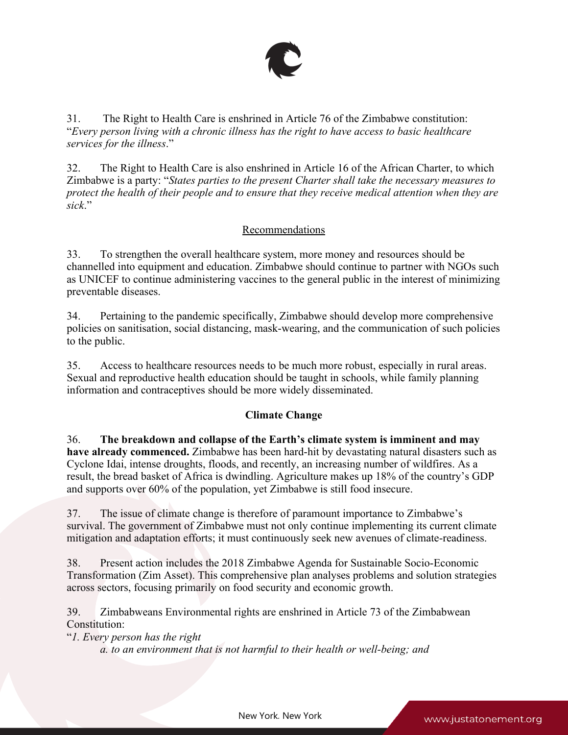

31. The Right to Health Care is enshrined in Article 76 of the Zimbabwe constitution: "*Every person living with <sup>a</sup> chronic illness has the right to have access to basic healthcare services for the illness*."

32. The Right to Health Care is also enshrined in Article 16 of the African Charter, to which Zimbabwe is <sup>a</sup> party: "*States parties to the presen<sup>t</sup> Charter shall take the necessary measures to* protect the health of their people and to ensure that they receive medical attention when they are *sick*."

## Recommendations

33. To strengthen the overall healthcare system, more money and resources should be channelled into equipment and education. Zimbabwe should continue to partner with NGOs such as UNICEF to continue administering vaccines to the general public in the interest of minimizing preventable diseases.

34. Pertaining to the pandemic specifically, Zimbabwe should develop more comprehensive policies on sanitisation, social distancing, mask-wearing, and the communication of such policies to the public.

35. Access to healthcare resources needs to be much more robust, especially in rural areas. Sexual and reproductive health education should be taught in schools, while family planning information and contraceptives should be more widely disseminated.

## **Climate Change**

36. **The breakdown and collapse of the Earth'<sup>s</sup> climate system is imminent and may have already commenced.** Zimbabwe has been hard-hit by devastating natural disasters such as Cyclone Idai, intense droughts, floods, and recently, an increasing number of wildfires. As <sup>a</sup> result, the bread basket of Africa is dwindling. Agriculture makes up 18% of the country'<sup>s</sup> GDP and supports over 60% of the population, ye<sup>t</sup> Zimbabwe is still food insecure.

37. The issue of climate change is therefore of paramoun<sup>t</sup> importance to Zimbabwe'<sup>s</sup> survival. The governmen<sup>t</sup> of Zimbabwe must not only continue implementing its current climate mitigation and adaptation efforts; it must continuously seek new avenues of climate-readiness.

38. Present action includes the 2018 Zimbabwe Agenda for Sustainable Socio-Economic Transformation (Zim Asset). This comprehensive plan analyses problems and solution strategies across sectors, focusing primarily on food security and economic growth.

39. Zimbabweans Environmental rights are enshrined in Article 73 of the Zimbabwean Constitution:

"*1. Every person has the right*

*a. to an environment that is not harmful to their health or well-being; and*